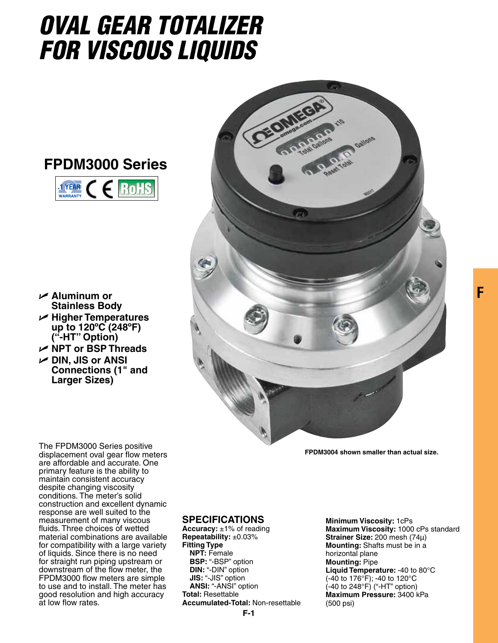## *OVAL GEAR TOTALIZER FOR VISCoUS LIQUIDS*





- U **Aluminum or Stainless Body**
- U **Higher Temperatures up to 120ºC (248ºF) ("-HT" Option)**
- U **NPT or BSP Threads**
- U **DIN, JIS or ANSI Connections (1" and Larger Sizes)**



**FPDM3004 shown smaller than actual size.**

The FPDM3000 Series positive displacement oval gear flow meters are affordable and accurate. One primary feature is the ability to maintain consistent accuracy despite changing viscosity conditions. The meter's solid construction and excellent dynamic response are well suited to the measurement of many viscous fluids. Three choices of wetted material combinations are available for compatibility with a large variety of liquids. Since there is no need for straight run piping upstream or downstream of the flow meter, the FPDM3000 flow meters are simple to use and to install. The meter has good resolution and high accuracy at low flow rates.

## **Specifications**

**Accuracy:** ±1% of reading **Repeatability:** ±0.03% **Fitting Type NPT:** Female **BSP:** "-BSP" option **DIN:** "-DIN" option **JIS:** "-JIS" option **ANSI:** "-ANSI" option **Total:** Resettable **Accumulated-Total:** Non-resettable

**F-1**

**Minimum Viscosity:** 1cPs **Maximum Viscosity:** 1000 cPs standard **Strainer Size:** 200 mesh (74µ) **Mounting:** Shafts must be in a horizontal plane **Mounting:** Pipe **Liquid Temperature:** -40 to 80°C (-40 to 176°F); -40 to 120°C  $($ -40 to 248 $\degree$ F) ("-HT" option) **Maximum Pressure:** 3400 kPa (500 psi)